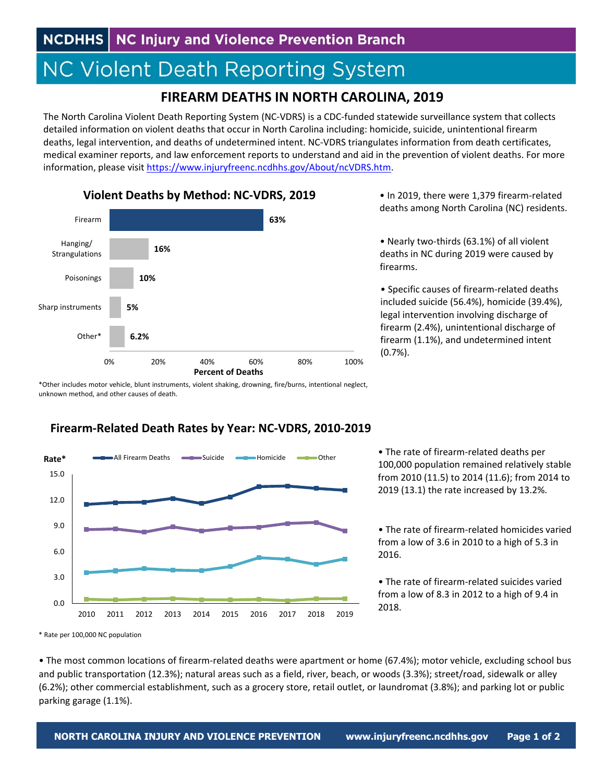# **NC Violent Death Reporting System**

## **FIREARM DEATHS IN NORTH CAROLINA, 2019**

The North Carolina Violent Death Reporting System (NC‐VDRS) is a CDC‐funded statewide surveillance system that collects detailed information on violent deaths that occur in North Carolina including: homicide, suicide, unintentional firearm deaths, legal intervention, and deaths of undetermined intent. NC‐VDRS triangulates information from death certificates, medical examiner reports, and law enforcement reports to understand and aid in the prevention of violent deaths. For more information, please visit https://www.injuryfreenc.ncdhhs.gov/About/ncVDRS.htm.



• In 2019, there were 1,379 firearm‐related deaths among North Carolina (NC) residents.

• Nearly two‐thirds (63.1%) of all violent deaths in NC during 2019 were caused by firearms.

• Specific causes of firearm‐related deaths included suicide (56.4%), homicide (39.4%), legal intervention involving discharge of firearm (2.4%), unintentional discharge of firearm (1.1%), and undetermined intent (0.7%).

\*Other includes motor vehicle, blunt instruments, violent shaking, drowning, fire/burns, intentional neglect, unknown method, and other causes of death.



### **Firearm‐Related Death Rates by Year: NC‐VDRS, 2010‐2019**

• The rate of firearm‐related deaths per 100,000 population remained relatively stable from 2010 (11.5) to 2014 (11.6); from 2014 to 2019 (13.1) the rate increased by 13.2%.

• The rate of firearm‐related homicides varied from a low of 3.6 in 2010 to a high of 5.3 in 2016.

• The rate of firearm‐related suicides varied from a low of 8.3 in 2012 to a high of 9.4 in 2018.

• The most common locations of firearm‐related deaths were apartment or home (67.4%); motor vehicle, excluding school bus and public transportation (12.3%); natural areas such as a field, river, beach, or woods (3.3%); street/road, sidewalk or alley (6.2%); other commercial establishment, such as a grocery store, retail outlet, or laundromat (3.8%); and parking lot or public parking garage (1.1%).

<sup>\*</sup> Rate per 100,000 NC population